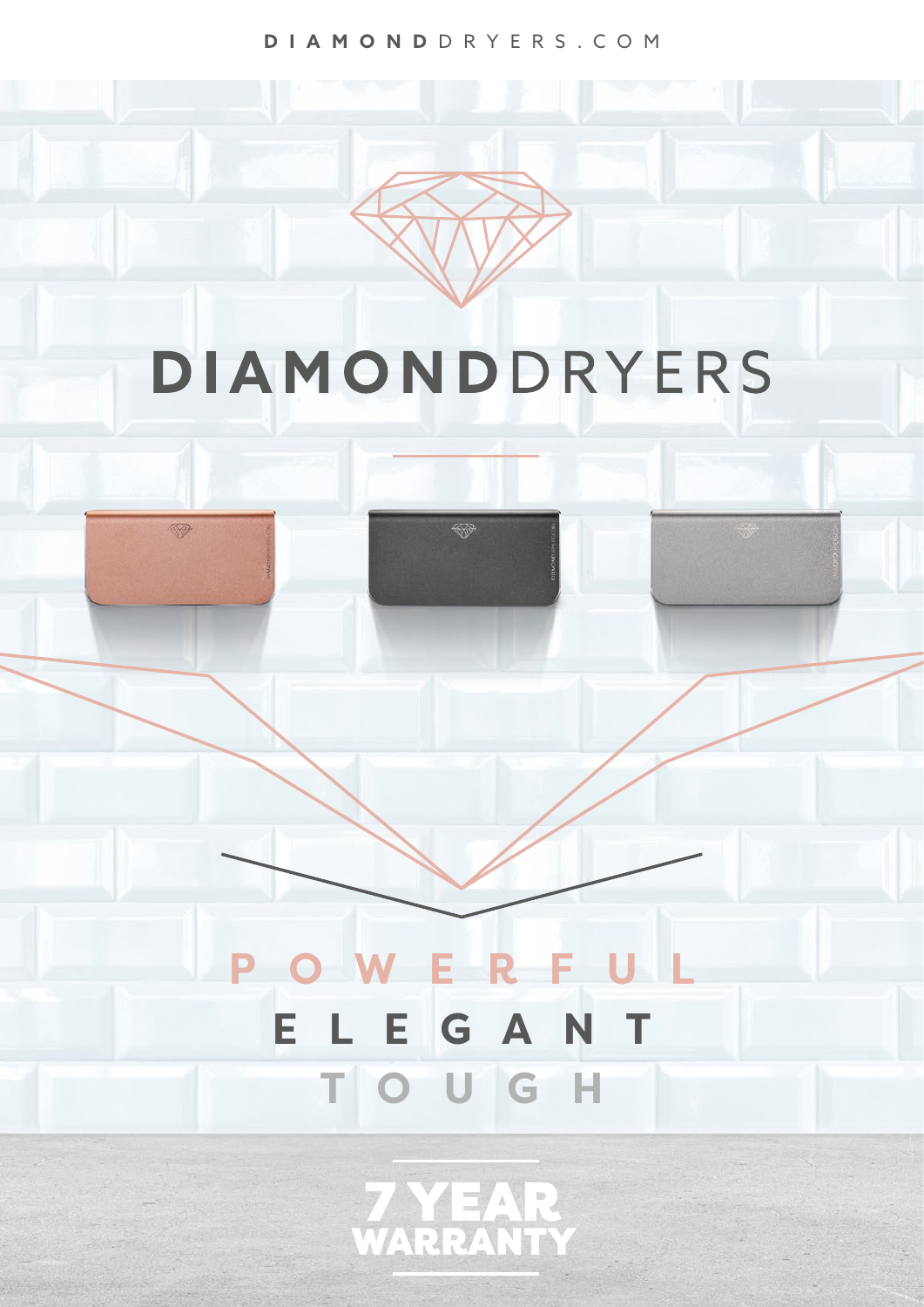**DIAMOND** DRYERS.COM

# DIAMONDDRYERS

❤

V

## **POWERFUL ELEGANT TOUGH**

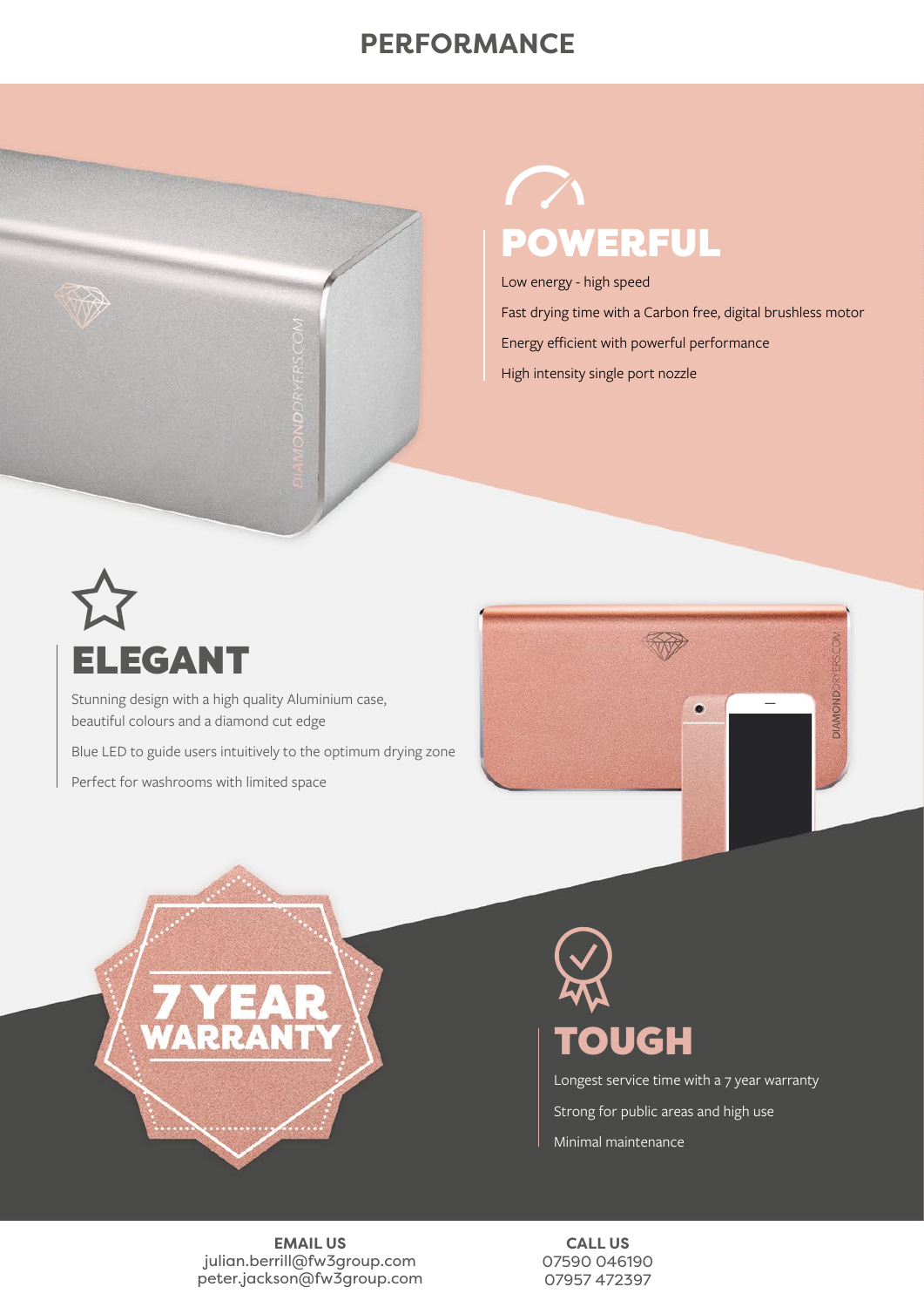### **PERFORMANCE**



## $\sqrt{}$ POWERFUL

Low energy - high speed

Fast drying time with a Carbon free, digital brushless motor Energy efficient with powerful performance

High intensity single port nozzle



Stunning design with a high quality Aluminium case, beautiful colours and a diamond cut edge

Blue LED to guide users intuitively to the optimum drying zone

Perfect for washrooms with limited space





## TOUGH

Longest service time with a 7 year warranty Strong for public areas and high use Minimal maintenance

**EMAIL US** julian.berrill@fw3group.com peter.jackson@fw3group.com

**CALL US** 07590 046190 07957 472397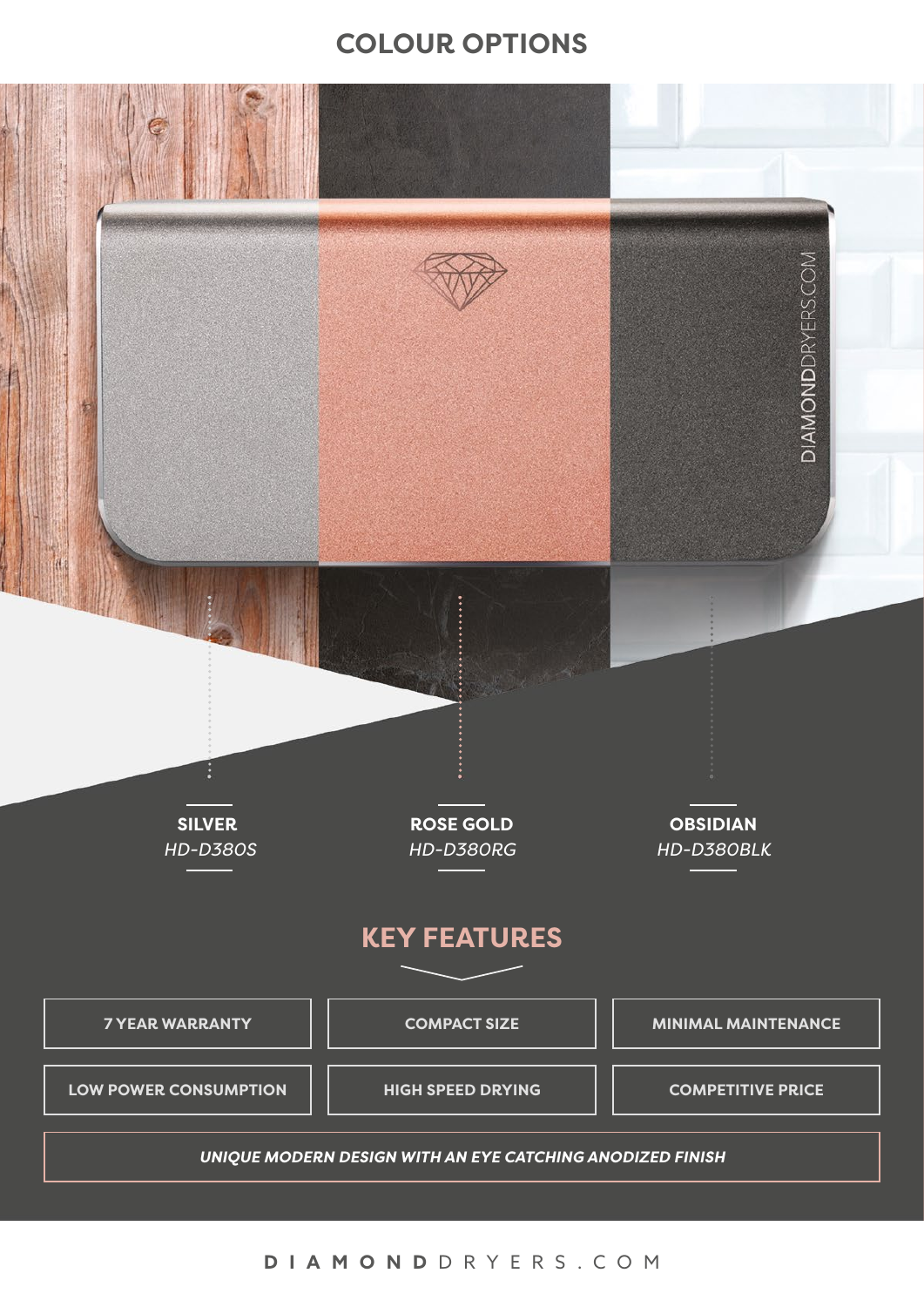#### **COLOUR OPTIONS**